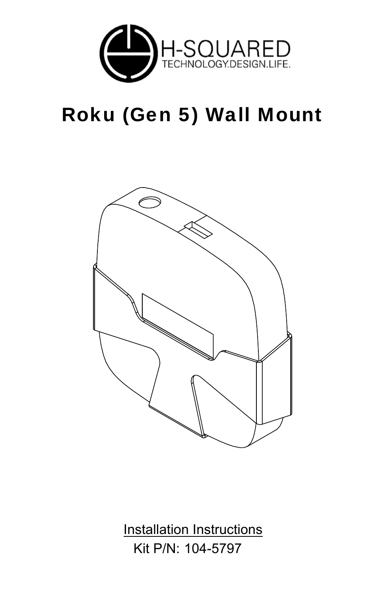

## Roku (Gen 5) Wall Mount



Kit P/N: 104-5797 Installation Instructions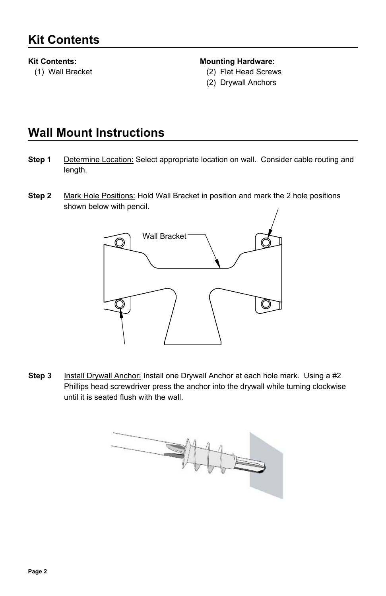## **Kit Contents:**

(1) Wall Bracket

## **Mounting Hardware:**

- (2) Flat Head Screws
- (2) Drywall Anchors

## **Wall Mount Instructions**

- Determine Location: Select appropriate location on wall. Consider cable routing and length. **Step 1**
- **Step 2** Mark Hole Positions: Hold Wall Bracket in position and mark the 2 hole positions shown below with pencil.



Install Drywall Anchor: Install one Drywall Anchor at each hole mark. Using a #2 Phillips head screwdriver press the anchor into the drywall while turning clockwise until it is seated flush with the wall. **Step 3**

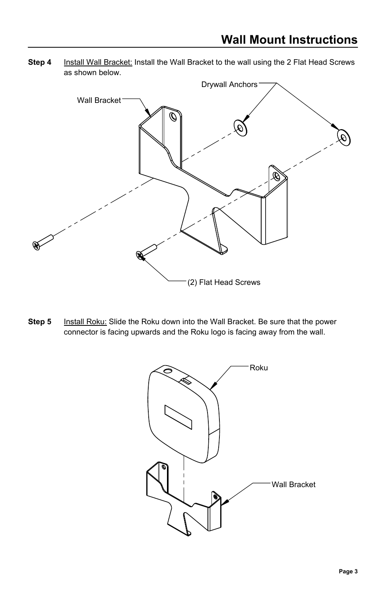**Step 4** Install Wall Bracket: Install the Wall Bracket to the wall using the 2 Flat Head Screws as shown below.



**Step 5** Install Roku: Slide the Roku down into the Wall Bracket. Be sure that the power connector is facing upwards and the Roku logo is facing away from the wall.